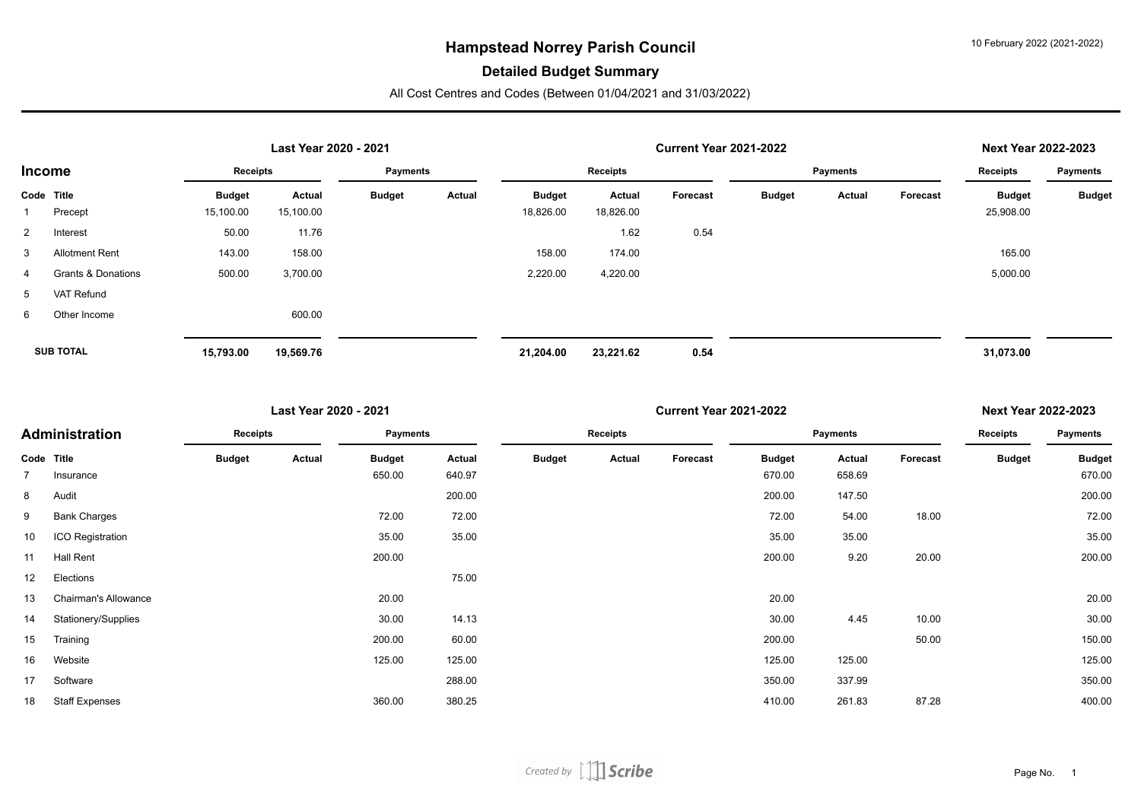#### **Detailed Budget Summary**

|                |                               |               | Last Year 2020 - 2021 |                 |        |               | <b>Current Year 2021-2022</b> |          | <b>Next Year 2022-2023</b> |                 |                 |               |               |
|----------------|-------------------------------|---------------|-----------------------|-----------------|--------|---------------|-------------------------------|----------|----------------------------|-----------------|-----------------|---------------|---------------|
| Income         |                               | Receipts      |                       | <b>Payments</b> |        | Receipts      |                               |          |                            | <b>Payments</b> | <b>Receipts</b> | Payments      |               |
| Code Title     |                               | <b>Budget</b> | Actual                | <b>Budget</b>   | Actual | <b>Budget</b> | Actual                        | Forecast | <b>Budget</b>              | Actual          | Forecast        | <b>Budget</b> | <b>Budget</b> |
|                | Precept                       | 15,100.00     | 15,100.00             |                 |        | 18,826.00     | 18,826.00                     |          |                            |                 |                 | 25,908.00     |               |
| $\overline{2}$ | Interest                      | 50.00         | 11.76                 |                 |        |               | 1.62                          | 0.54     |                            |                 |                 |               |               |
| $\mathbf{3}$   | <b>Allotment Rent</b>         | 143.00        | 158.00                |                 |        | 158.00        | 174.00                        |          |                            |                 |                 | 165.00        |               |
| 4              | <b>Grants &amp; Donations</b> | 500.00        | 3,700.00              |                 |        | 2,220.00      | 4,220.00                      |          |                            |                 |                 | 5,000.00      |               |
| 5              | VAT Refund                    |               |                       |                 |        |               |                               |          |                            |                 |                 |               |               |
| 6              | Other Income                  |               | 600.00                |                 |        |               |                               |          |                            |                 |                 |               |               |
|                |                               |               |                       |                 |        |               |                               |          |                            |                 |                 |               |               |
|                | <b>SUB TOTAL</b>              | 15,793.00     | 19,569.76             |                 |        | 21,204.00     | 23,221.62                     | 0.54     |                            |                 |                 | 31,073.00     |               |

| Last Year 2020 - 2021 |                       |               |        |                 |        |               |          | <b>Next Year 2022-2023</b> |               |          |          |               |                 |
|-----------------------|-----------------------|---------------|--------|-----------------|--------|---------------|----------|----------------------------|---------------|----------|----------|---------------|-----------------|
|                       | Administration        | Receipts      |        | <b>Payments</b> |        |               | Receipts |                            |               | Payments |          | Receipts      | <b>Payments</b> |
|                       | Code Title            | <b>Budget</b> | Actual | <b>Budget</b>   | Actual | <b>Budget</b> | Actual   | Forecast                   | <b>Budget</b> | Actual   | Forecast | <b>Budget</b> | <b>Budget</b>   |
|                       | Insurance             |               |        | 650.00          | 640.97 |               |          |                            | 670.00        | 658.69   |          |               | 670.00          |
| 8                     | Audit                 |               |        |                 | 200.00 |               |          |                            | 200.00        | 147.50   |          |               | 200.00          |
| 9                     | <b>Bank Charges</b>   |               |        | 72.00           | 72.00  |               |          |                            | 72.00         | 54.00    | 18.00    |               | 72.00           |
| 10                    | ICO Registration      |               |        | 35.00           | 35.00  |               |          |                            | 35.00         | 35.00    |          |               | 35.00           |
| 11                    | Hall Rent             |               |        | 200.00          |        |               |          |                            | 200.00        | 9.20     | 20.00    |               | 200.00          |
| 12                    | Elections             |               |        |                 | 75.00  |               |          |                            |               |          |          |               |                 |
| 13                    | Chairman's Allowance  |               |        | 20.00           |        |               |          |                            | 20.00         |          |          |               | 20.00           |
| 14                    | Stationery/Supplies   |               |        | 30.00           | 14.13  |               |          |                            | 30.00         | 4.45     | 10.00    |               | 30.00           |
| 15                    | Training              |               |        | 200.00          | 60.00  |               |          |                            | 200.00        |          | 50.00    |               | 150.00          |
| 16                    | Website               |               |        | 125.00          | 125.00 |               |          |                            | 125.00        | 125.00   |          |               | 125.00          |
| 17                    | Software              |               |        |                 | 288.00 |               |          |                            | 350.00        | 337.99   |          |               | 350.00          |
| 18                    | <b>Staff Expenses</b> |               |        | 360.00          | 380.25 |               |          |                            | 410.00        | 261.83   | 87.28    |               | 400.00          |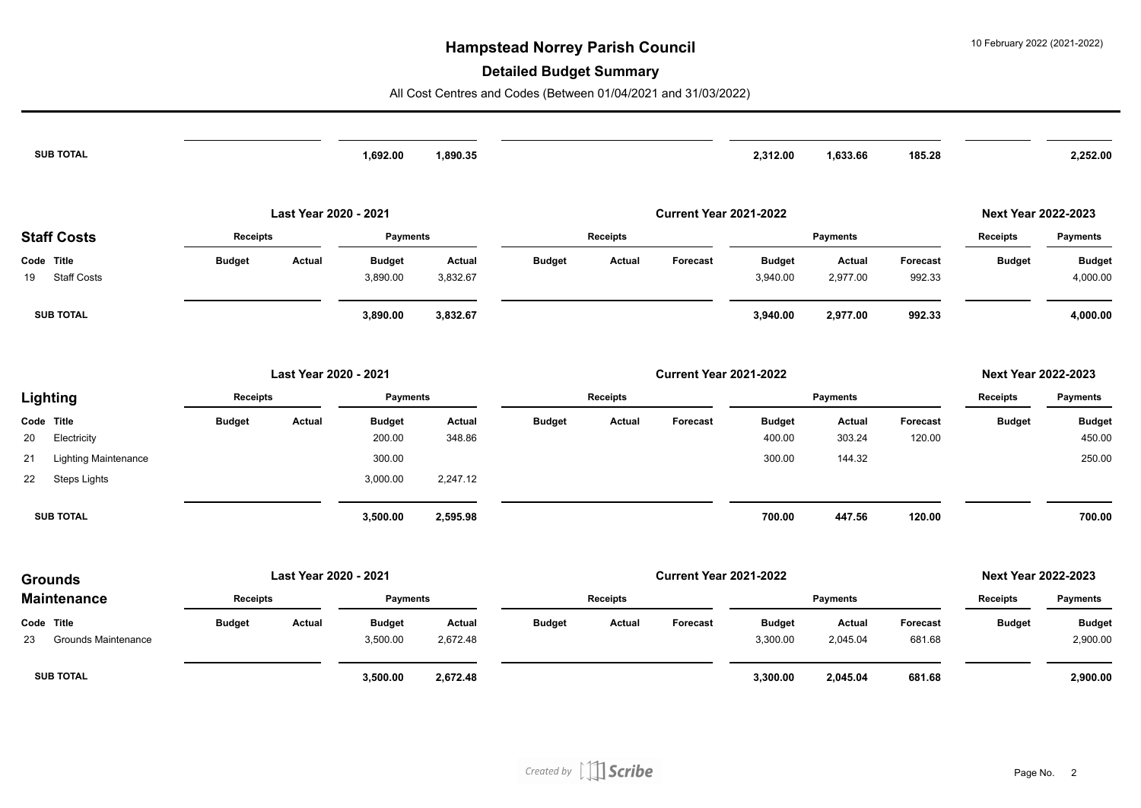#### **Detailed Budget Summary**

| <b>SUB TOTAL</b>                                 |                 |                       | 1,692.00                  | 1,890.35                |               |                 |                               | 2,312.00                  | 1,633.66           | 185.28             |                            | 2,252.00                  |
|--------------------------------------------------|-----------------|-----------------------|---------------------------|-------------------------|---------------|-----------------|-------------------------------|---------------------------|--------------------|--------------------|----------------------------|---------------------------|
|                                                  |                 | Last Year 2020 - 2021 |                           |                         |               |                 | <b>Current Year 2021-2022</b> |                           |                    |                    | <b>Next Year 2022-2023</b> |                           |
| <b>Staff Costs</b>                               | Receipts        |                       | <b>Payments</b>           |                         |               | <b>Receipts</b> |                               |                           | Payments           |                    | <b>Receipts</b>            | <b>Payments</b>           |
| Code Title                                       | <b>Budget</b>   | <b>Actual</b>         | <b>Budget</b>             | Actual                  | <b>Budget</b> | <b>Actual</b>   | Forecast                      | <b>Budget</b>             | Actual             | Forecast           | <b>Budget</b>              | <b>Budget</b>             |
| <b>Staff Costs</b><br>19                         |                 |                       | 3,890.00                  | 3,832.67                |               |                 |                               | 3,940.00                  | 2,977.00           | 992.33             |                            | 4,000.00                  |
| <b>SUB TOTAL</b>                                 |                 |                       | 3,890.00                  | 3,832.67                |               |                 |                               | 3,940.00                  | 2,977.00           | 992.33             |                            | 4,000.00                  |
|                                                  |                 | Last Year 2020 - 2021 |                           |                         |               |                 | <b>Current Year 2021-2022</b> |                           |                    |                    | <b>Next Year 2022-2023</b> |                           |
| Lighting                                         | <b>Receipts</b> |                       | <b>Payments</b>           |                         |               | Receipts        |                               |                           | Payments           | <b>Receipts</b>    | <b>Payments</b>            |                           |
| Code Title<br>20                                 | <b>Budget</b>   | Actual                | <b>Budget</b><br>200.00   | <b>Actual</b><br>348.86 | <b>Budget</b> | <b>Actual</b>   | Forecast                      | <b>Budget</b><br>400.00   | Actual<br>303.24   | Forecast<br>120.00 | <b>Budget</b>              | <b>Budget</b><br>450.00   |
| Electricity<br><b>Lighting Maintenance</b><br>21 |                 |                       | 300.00                    |                         |               |                 |                               | 300.00                    | 144.32             |                    |                            | 250.00                    |
| 22<br><b>Steps Lights</b>                        |                 |                       | 3,000.00                  | 2,247.12                |               |                 |                               |                           |                    |                    |                            |                           |
| <b>SUB TOTAL</b>                                 |                 |                       | 3,500.00                  | 2,595.98                |               |                 |                               | 700.00                    | 447.56             | 120.00             |                            | 700.00                    |
| <b>Grounds</b>                                   |                 | Last Year 2020 - 2021 |                           |                         |               |                 | <b>Current Year 2021-2022</b> |                           |                    |                    | <b>Next Year 2022-2023</b> |                           |
| <b>Maintenance</b>                               | <b>Receipts</b> |                       | <b>Payments</b>           |                         |               | <b>Receipts</b> |                               |                           | <b>Payments</b>    |                    | <b>Receipts</b>            | <b>Payments</b>           |
| Code Title<br><b>Grounds Maintenance</b><br>23   | <b>Budget</b>   | Actual                | <b>Budget</b><br>3,500.00 | Actual<br>2,672.48      | <b>Budget</b> | <b>Actual</b>   | Forecast                      | <b>Budget</b><br>3,300.00 | Actual<br>2,045.04 | Forecast<br>681.68 | <b>Budget</b>              | <b>Budget</b><br>2,900.00 |
| <b>SUB TOTAL</b>                                 |                 |                       | 3,500.00                  | 2,672.48                |               |                 |                               | 3,300.00                  | 2,045.04           | 681.68             |                            | 2,900.00                  |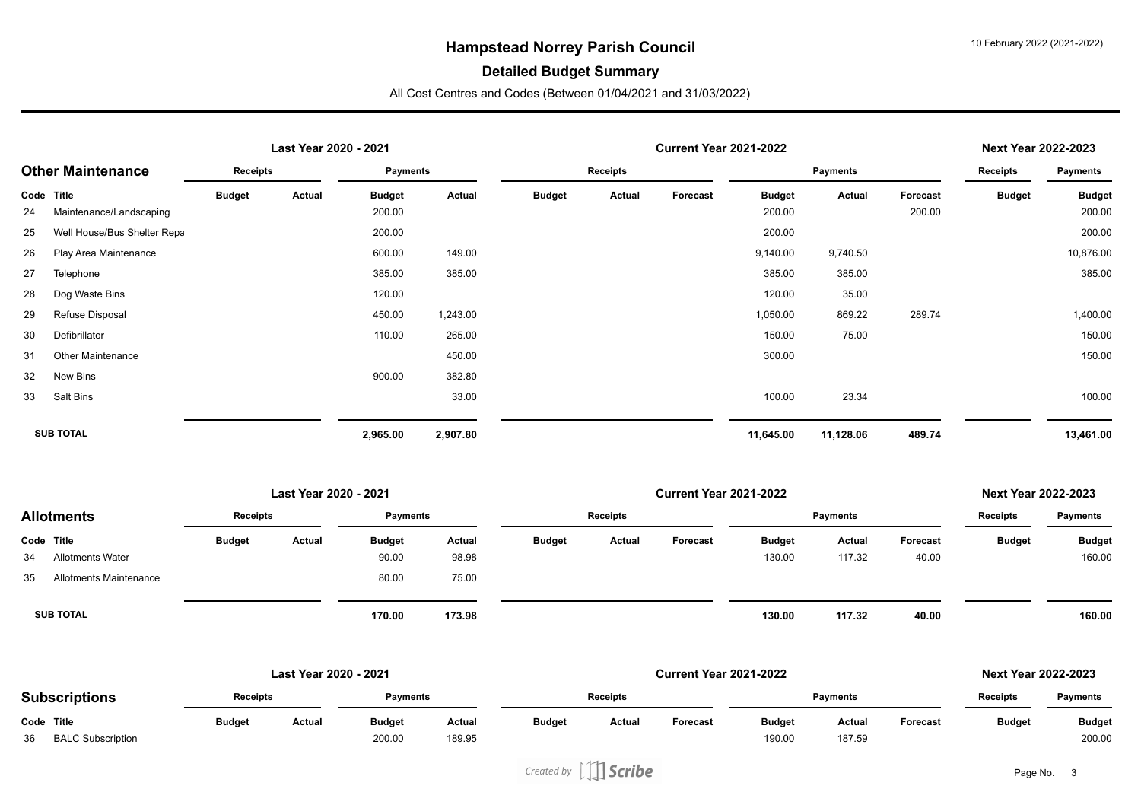#### **Detailed Budget Summary**

|            |                             |               | Last Year 2020 - 2021 |                 |          |               | <b>Current Year 2021-2022</b> |          |               |                 |          |               |                 |
|------------|-----------------------------|---------------|-----------------------|-----------------|----------|---------------|-------------------------------|----------|---------------|-----------------|----------|---------------|-----------------|
|            | <b>Other Maintenance</b>    | Receipts      |                       | <b>Payments</b> |          |               | Receipts                      |          |               | <b>Payments</b> |          |               | <b>Payments</b> |
| Code Title |                             | <b>Budget</b> | Actual                | <b>Budget</b>   | Actual   | <b>Budget</b> | Actual                        | Forecast | <b>Budget</b> | Actual          | Forecast | <b>Budget</b> | <b>Budget</b>   |
| 24         | Maintenance/Landscaping     |               |                       | 200.00          |          |               |                               |          | 200.00        |                 | 200.00   |               | 200.00          |
| 25         | Well House/Bus Shelter Repa |               |                       | 200.00          |          |               |                               |          | 200.00        |                 |          |               | 200.00          |
| 26         | Play Area Maintenance       |               |                       | 600.00          | 149.00   |               |                               |          | 9,140.00      | 9,740.50        |          |               | 10,876.00       |
| 27         | Telephone                   |               |                       | 385.00          | 385.00   |               |                               |          | 385.00        | 385.00          |          |               | 385.00          |
| 28         | Dog Waste Bins              |               |                       | 120.00          |          |               |                               |          | 120.00        | 35.00           |          |               |                 |
| 29         | Refuse Disposal             |               |                       | 450.00          | 1,243.00 |               |                               |          | 1,050.00      | 869.22          | 289.74   |               | 1,400.00        |
| 30         | Defibrillator               |               |                       | 110.00          | 265.00   |               |                               |          | 150.00        | 75.00           |          |               | 150.00          |
| 31         | <b>Other Maintenance</b>    |               |                       |                 | 450.00   |               |                               |          | 300.00        |                 |          |               | 150.00          |
| 32         | New Bins                    |               |                       | 900.00          | 382.80   |               |                               |          |               |                 |          |               |                 |
| 33         | Salt Bins                   |               |                       |                 | 33.00    |               |                               |          | 100.00        | 23.34           |          |               | 100.00          |
|            | <b>SUB TOTAL</b>            |               |                       | 2,965.00        | 2,907.80 |               |                               |          | 11,645.00     | 11,128.06       | 489.74   |               | 13,461.00       |

| Last Year 2020 - 2021 |                         |                 |        |                 |        |               | <b>Next Year 2022-2023</b> |          |               |                 |                 |               |               |
|-----------------------|-------------------------|-----------------|--------|-----------------|--------|---------------|----------------------------|----------|---------------|-----------------|-----------------|---------------|---------------|
|                       | <b>Allotments</b>       | <b>Receipts</b> |        | <b>Payments</b> |        | Receipts      |                            |          |               | <b>Payments</b> | <b>Receipts</b> | Payments      |               |
|                       | Code Title              | <b>Budget</b>   | Actual | <b>Budget</b>   | Actual | <b>Budget</b> | Actual                     | Forecast | <b>Budget</b> | Actual          | Forecast        | <b>Budget</b> | <b>Budget</b> |
| 34                    | <b>Allotments Water</b> |                 |        | 90.00           | 98.98  |               |                            |          | 130.00        | 117.32          | 40.00           |               | 160.00        |
| 35                    | Allotments Maintenance  |                 |        | 80.00           | 75.00  |               |                            |          |               |                 |                 |               |               |
|                       | <b>SUB TOTAL</b>        |                 |        | 170.00          | 173.98 |               |                            |          | 130.00        | 117.32          | 40.00           |               | 160.00        |

|                      |                          |                 | Last Year 2020 - 2021 |                 |        |                 | <b>Current Year 2021-2022</b> |                 |               |                 |                 |                 |               |
|----------------------|--------------------------|-----------------|-----------------------|-----------------|--------|-----------------|-------------------------------|-----------------|---------------|-----------------|-----------------|-----------------|---------------|
| <b>Subscriptions</b> |                          | <b>Receipts</b> |                       | <b>Payments</b> |        | <b>Receipts</b> |                               |                 |               | <b>Pavments</b> | <b>Receipts</b> | <b>Payments</b> |               |
| Code Title           |                          | <b>Budget</b>   | Actual                | <b>Budget</b>   | Actual | <b>Budget</b>   | Actual                        | <b>Forecast</b> | <b>Budget</b> | Actual          | <b>Forecast</b> | <b>Budget</b>   | <b>Budget</b> |
| 36                   | <b>BALC Subscription</b> |                 |                       | 200.00          | 189.95 |                 |                               |                 | 190.00        | 187.59          |                 |                 | 200.00        |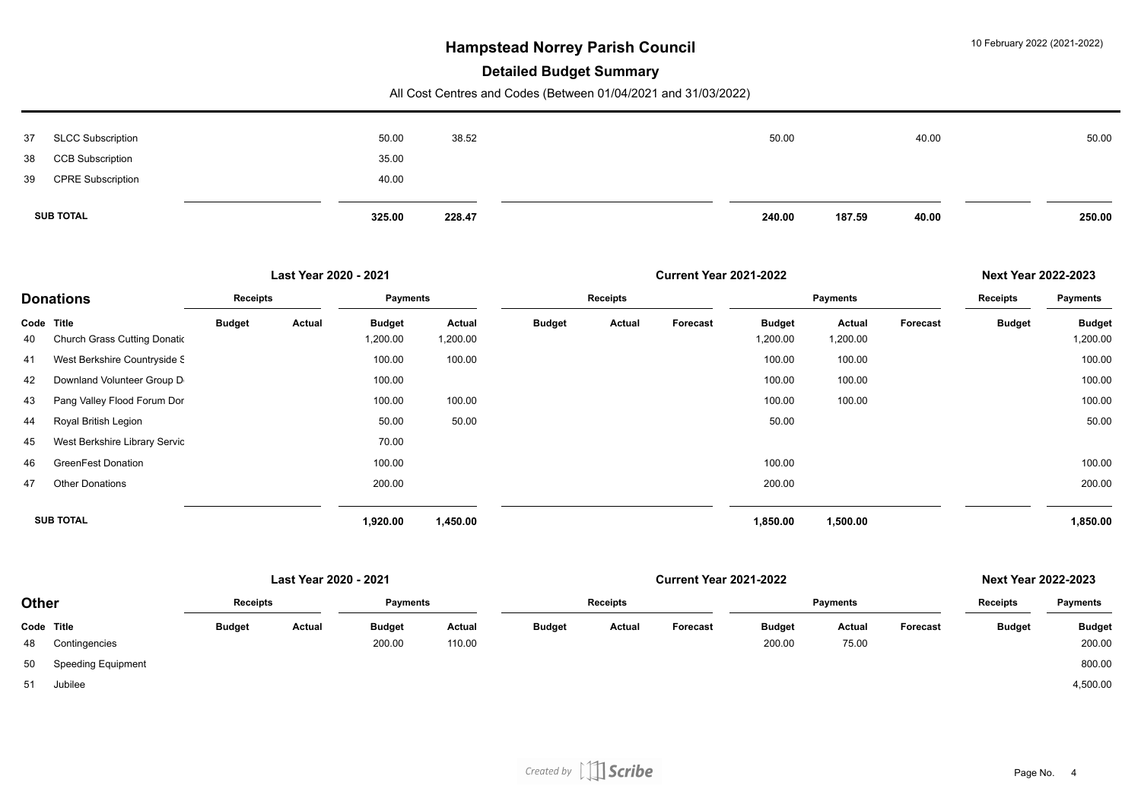#### **Detailed Budget Summary**

| 50.00 |
|-------|
|       |

|                  |                                     |               | Last Year 2020 - 2021 |                           |                    |               |          | <b>Next Year 2022-2023</b> |                           |                    |          |               |                           |
|------------------|-------------------------------------|---------------|-----------------------|---------------------------|--------------------|---------------|----------|----------------------------|---------------------------|--------------------|----------|---------------|---------------------------|
|                  | <b>Donations</b>                    | Receipts      |                       | Payments                  |                    |               | Receipts |                            |                           | <b>Payments</b>    |          |               | <b>Payments</b>           |
| Code Title<br>40 | <b>Church Grass Cutting Donatic</b> | <b>Budget</b> | Actual                | <b>Budget</b><br>1,200.00 | Actual<br>1,200.00 | <b>Budget</b> | Actual   | Forecast                   | <b>Budget</b><br>1,200.00 | Actual<br>1,200.00 | Forecast | <b>Budget</b> | <b>Budget</b><br>1,200.00 |
| 41               | West Berkshire Countryside S        |               |                       | 100.00                    | 100.00             |               |          |                            | 100.00                    | 100.00             |          |               | 100.00                    |
| 42               | Downland Volunteer Group D          |               |                       | 100.00                    |                    |               |          |                            | 100.00                    | 100.00             |          |               | 100.00                    |
| 43               | Pang Valley Flood Forum Dor         |               |                       | 100.00                    | 100.00             |               |          |                            | 100.00                    | 100.00             |          |               | 100.00                    |
| 44               | Royal British Legion                |               |                       | 50.00                     | 50.00              |               |          |                            | 50.00                     |                    |          |               | 50.00                     |
| 45               | West Berkshire Library Servic       |               |                       | 70.00                     |                    |               |          |                            |                           |                    |          |               |                           |
| 46               | <b>GreenFest Donation</b>           |               |                       | 100.00                    |                    |               |          |                            | 100.00                    |                    |          |               | 100.00                    |
| 47               | <b>Other Donations</b>              |               |                       | 200.00                    |                    |               |          |                            | 200.00                    |                    |          |               | 200.00                    |
|                  | <b>SUB TOTAL</b>                    |               |                       | 1,920.00                  | 1,450.00           |               |          |                            | 1,850.00                  | 1,500.00           |          |               | 1,850.00                  |

|              |                           |                 | Last Year 2020 - 2021 |               |        |                 |        | <b>Next Year 2022-2023</b> |               |                 |          |                 |                 |
|--------------|---------------------------|-----------------|-----------------------|---------------|--------|-----------------|--------|----------------------------|---------------|-----------------|----------|-----------------|-----------------|
| <b>Other</b> |                           | <b>Receipts</b> |                       | Payments      |        | <b>Receipts</b> |        |                            |               | <b>Payments</b> |          | <b>Receipts</b> | <b>Payments</b> |
| Code Title   |                           | <b>Budget</b>   | Actual                | <b>Budget</b> | Actual | <b>Budget</b>   | Actual | Forecast                   | <b>Budget</b> | Actual          | Forecast | <b>Budget</b>   | <b>Budget</b>   |
| 48           | Contingencies             |                 |                       | 200.00        | 110.00 |                 |        |                            | 200.00        | 75.00           |          |                 | 200.00          |
| 50           | <b>Speeding Equipment</b> |                 |                       |               |        |                 |        |                            |               |                 |          |                 | 800.00          |
| 51           | Jubilee                   |                 |                       |               |        |                 |        |                            |               |                 |          |                 | 4,500.00        |